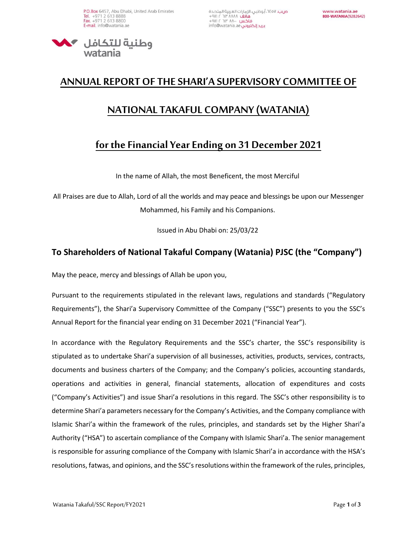

## **ANNUAL REPORT OF THE SHARI'A SUPERVISORY COMMITTEE OF**

## **NATIONAL TAKAFUL COMPANY (WATANIA)**

## **for the Financial Year Ending on 31 December 2021**

In the name of Allah, the most Beneficent, the most Merciful

All Praises are due to Allah, Lord of all the worlds and may peace and blessings be upon our Messenger Mohammed, his Family and his Companions.

Issued in Abu Dhabi on: 25/03/22

## **To Shareholders of National Takaful Company (Watania) PJSC (the "Company")**

May the peace, mercy and blessings of Allah be upon you,

Pursuant to the requirements stipulated in the relevant laws, regulations and standards ("Regulatory Requirements"), the Shari'a Supervisory Committee of the Company ("SSC") presents to you the SSC's Annual Report for the financial year ending on 31 December 2021 ("Financial Year").

In accordance with the Regulatory Requirements and the SSC's charter, the SSC's responsibility is stipulated as to undertake Shari'a supervision of all businesses, activities, products, services, contracts, documents and business charters of the Company; and the Company's policies, accounting standards, operations and activities in general, financial statements, allocation of expenditures and costs ("Company's Activities") and issue Shari'a resolutions in this regard. The SSC's other responsibility is to determine Shari'a parameters necessary for the Company's Activities, and the Company compliance with Islamic Shari'a within the framework of the rules, principles, and standards set by the Higher Shari'a Authority ("HSA") to ascertain compliance of the Company with Islamic Shari'a. The senior management is responsible for assuring compliance of the Company with Islamic Shari'a in accordance with the HSA's resolutions, fatwas, and opinions, and the SSC's resolutions within the framework of the rules, principles,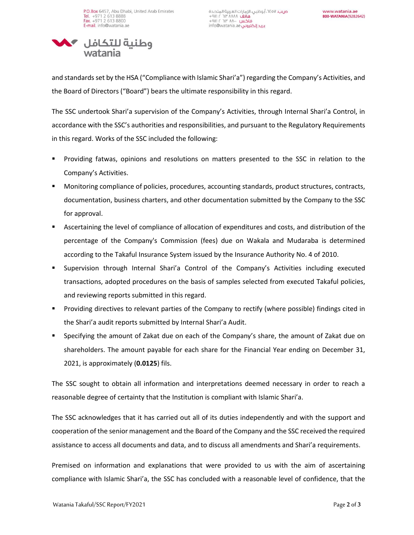

and standards set by the HSA ("Compliance with Islamic Shari'a") regarding the Company's Activities, and the Board of Directors ("Board") bears the ultimate responsibility in this regard.

The SSC undertook Shari'a supervision of the Company's Activities, through Internal Shari'a Control, in accordance with the SSC's authorities and responsibilities, and pursuant to the Regulatory Requirements in this regard. Works of the SSC included the following:

- Providing fatwas, opinions and resolutions on matters presented to the SSC in relation to the Company's Activities.
- Monitoring compliance of policies, procedures, accounting standards, product structures, contracts, documentation, business charters, and other documentation submitted by the Company to the SSC for approval.
- Ascertaining the level of compliance of allocation of expenditures and costs, and distribution of the percentage of the Company's Commission (fees) due on Wakala and Mudaraba is determined according to the Takaful Insurance System issued by the Insurance Authority No. 4 of 2010.
- Supervision through Internal Shari'a Control of the Company's Activities including executed transactions, adopted procedures on the basis of samples selected from executed Takaful policies, and reviewing reports submitted in this regard.
- Providing directives to relevant parties of the Company to rectify (where possible) findings cited in the Shari'a audit reports submitted by Internal Shari'a Audit.
- Specifying the amount of Zakat due on each of the Company's share, the amount of Zakat due on shareholders. The amount payable for each share for the Financial Year ending on December 31, 2021, is approximately (**0.0125**) fils.

The SSC sought to obtain all information and interpretations deemed necessary in order to reach a reasonable degree of certainty that the Institution is compliant with Islamic Shari'a.

The SSC acknowledges that it has carried out all of its duties independently and with the support and cooperation of the senior management and the Board of the Company and the SSC received the required assistance to access all documents and data, and to discuss all amendments and Shari'a requirements.

Premised on information and explanations that were provided to us with the aim of ascertaining compliance with Islamic Shari'a, the SSC has concluded with a reasonable level of confidence, that the